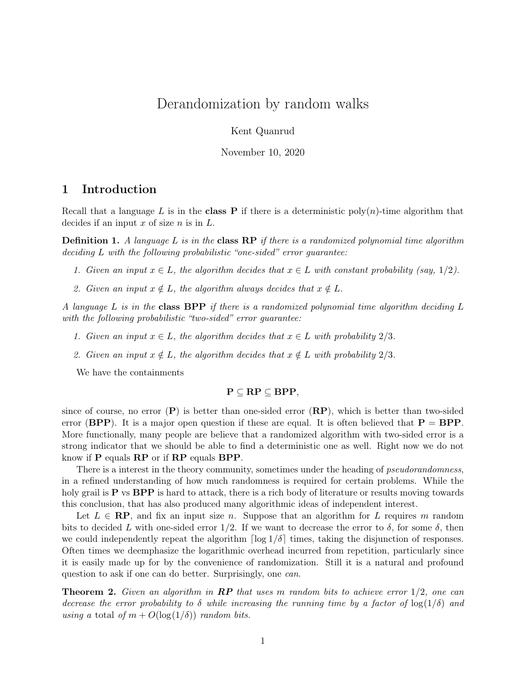# Derandomization by random walks

Kent Quanrud

November 10, 2020

### 1 Introduction

Recall that a language L is in the class **P** if there is a deterministic poly $(n)$ -time algorithm that decides if an input  $x$  of size  $n$  is in  $L$ .

**Definition 1.** A language L is in the class  $\mathbb{RP}$  if there is a randomized polynomial time algorithm deciding L with the following probabilistic "one-sided" error guarantee:

- 1. Given an input  $x \in L$ , the algorithm decides that  $x \in L$  with constant probability (say, 1/2).
- 2. Given an input  $x \notin L$ , the algorithm always decides that  $x \notin L$ .

A language  $L$  is in the class BPP if there is a randomized polynomial time algorithm deciding  $L$ with the following probabilistic "two-sided" error guarantee:

- 1. Given an input  $x \in L$ , the algorithm decides that  $x \in L$  with probability  $2/3$ .
- 2. Given an input  $x \notin L$ , the algorithm decides that  $x \notin L$  with probability 2/3.

We have the containments

#### $P \subseteq RP \subseteq BPP$ ,

since of course, no error  $(P)$  is better than one-sided error  $(RP)$ , which is better than two-sided error (BPP). It is a major open question if these are equal. It is often believed that  $P = BPP$ . More functionally, many people are believe that a randomized algorithm with two-sided error is a strong indicator that we should be able to find a deterministic one as well. Right now we do not know if P equals RP or if RP equals BPP.

There is a interest in the theory community, sometimes under the heading of *pseudorandomness*, in a refined understanding of how much randomness is required for certain problems. While the holy grail is  $P$  vs  $BPP$  is hard to attack, there is a rich body of literature or results moving towards this conclusion, that has also produced many algorithmic ideas of independent interest.

Let  $L \in \mathbb{RP}$ , and fix an input size n. Suppose that an algorithm for L requires m random bits to decided L with one-sided error  $1/2$ . If we want to decrease the error to  $\delta$ , for some  $\delta$ , then we could independently repeat the algorithm  $\lceil \log 1/\delta \rceil$  times, taking the disjunction of responses. Often times we deemphasize the logarithmic overhead incurred from repetition, particularly since it is easily made up for by the convenience of randomization. Still it is a natural and profound question to ask if one can do better. Surprisingly, one *can*.

**Theorem 2.** Given an algorithm in  $\mathbb{RP}$  that uses m random bits to achieve error  $1/2$ , one can decrease the error probability to  $\delta$  while increasing the running time by a factor of  $\log(1/\delta)$  and using a total of  $m + O(\log(1/\delta))$  random bits.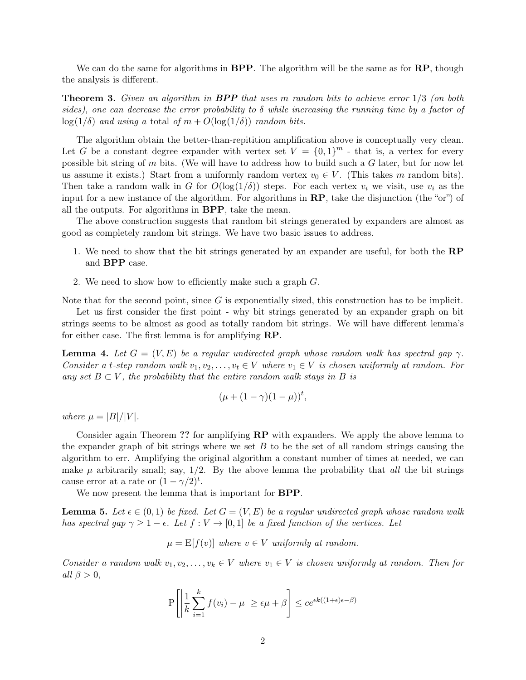We can do the same for algorithms in  $BPP$ . The algorithm will be the same as for  $RP$ , though the analysis is different.

**Theorem 3.** Given an algorithm in **BPP** that uses m random bits to achieve error  $1/3$  (on both sides), one can decrease the error probability to  $\delta$  while increasing the running time by a factor of  $\log(1/\delta)$  and using a total of  $m + O(\log(1/\delta))$  random bits.

The algorithm obtain the better-than-repitition amplification above is conceptually very clean. Let G be a constant degree expander with vertex set  $V = \{0,1\}^m$  - that is, a vertex for every possible bit string of  $m$  bits. (We will have to address how to build such a  $G$  later, but for now let us assume it exists.) Start from a uniformly random vertex  $v_0 \in V$ . (This takes m random bits). Then take a random walk in G for  $O(\log(1/\delta))$  steps. For each vertex  $v_i$  we visit, use  $v_i$  as the input for a new instance of the algorithm. For algorithms in RP, take the disjunction (the "or") of all the outputs. For algorithms in BPP, take the mean.

The above construction suggests that random bit strings generated by expanders are almost as good as completely random bit strings. We have two basic issues to address.

- 1. We need to show that the bit strings generated by an expander are useful, for both the RP and BPP case.
- 2. We need to show how to efficiently make such a graph G.

Note that for the second point, since  $G$  is exponentially sized, this construction has to be implicit.

Let us first consider the first point - why bit strings generated by an expander graph on bit strings seems to be almost as good as totally random bit strings. We will have different lemma's for either case. The first lemma is for amplifying RP.

**Lemma 4.** Let  $G = (V, E)$  be a regular undirected graph whose random walk has spectral gap  $\gamma$ . Consider a t-step random walk  $v_1, v_2, \ldots, v_t \in V$  where  $v_1 \in V$  is chosen uniformly at random. For any set  $B \subset V$ , the probability that the entire random walk stays in B is

$$
(\mu + (1 - \gamma)(1 - \mu))^t
$$
,

where  $\mu = |B|/|V|$ .

Consider again Theorem ?? for amplifying **RP** with expanders. We apply the above lemma to the expander graph of bit strings where we set  $B$  to be the set of all random strings causing the algorithm to err. Amplifying the original algorithm a constant number of times at needed, we can make  $\mu$  arbitrarily small; say,  $1/2$ . By the above lemma the probability that *all* the bit strings cause error at a rate or  $(1 - \gamma/2)^t$ .

We now present the lemma that is important for **BPP**.

**Lemma 5.** Let  $\epsilon \in (0,1)$  be fixed. Let  $G = (V, E)$  be a regular undirected graph whose random walk has spectral gap  $\gamma \geq 1 - \epsilon$ . Let  $f: V \to [0, 1]$  be a fixed function of the vertices. Let

$$
\mu = E[f(v)]
$$
 where  $v \in V$  uniformly at random.

Consider a random walk  $v_1, v_2, \ldots, v_k \in V$  where  $v_1 \in V$  is chosen uniformly at random. Then for all  $\beta > 0$ ,

$$
P\left[\left|\frac{1}{k}\sum_{i=1}^{k}f(v_i)-\mu\right|\geq \epsilon\mu+\beta\right]\leq ce^{\epsilon k((1+\epsilon)\epsilon-\beta)}
$$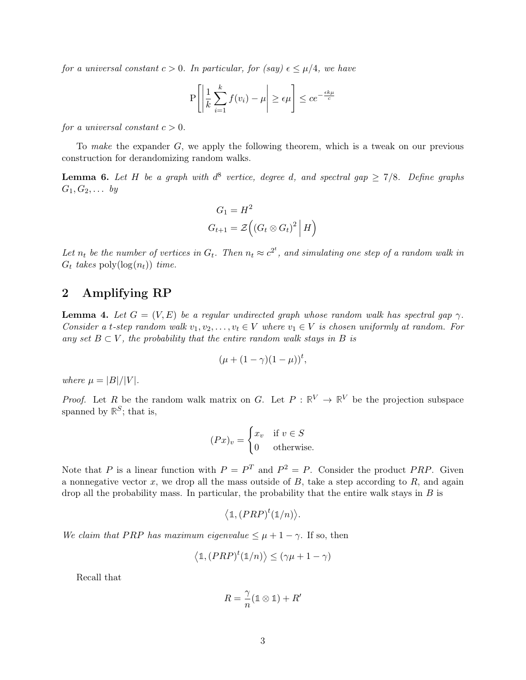for a universal constant  $c > 0$ . In particular, for (say)  $\epsilon \leq \mu/4$ , we have

$$
P\left[\left|\frac{1}{k}\sum_{i=1}^{k}f(v_i)-\mu\right|\geq \epsilon\mu\right]\leq ce^{-\frac{\epsilon k\mu}{c}}
$$

for a universal constant  $c > 0$ .

To make the expander  $G$ , we apply the following theorem, which is a tweak on our previous construction for derandomizing random walks.

**Lemma 6.** Let H be a graph with  $d^8$  vertice, degree d, and spectral gap  $\geq 7/8$ . Define graphs  $G_1, G_2, \ldots$  by

$$
G_1 = H^2
$$
  
\n
$$
G_{t+1} = \mathcal{Z}\left( \left( G_t \otimes G_t \right)^2 \middle| H \right)
$$

Let  $n_t$  be the number of vertices in  $G_t$ . Then  $n_t \approx c^{2^t}$ , and simulating one step of a random walk in  $G_t$  takes poly $(\log(n_t))$  time.

### 2 Amplifying RP

**Lemma 4.** Let  $G = (V, E)$  be a regular undirected graph whose random walk has spectral gap  $\gamma$ . Consider a t-step random walk  $v_1, v_2, \ldots, v_t \in V$  where  $v_1 \in V$  is chosen uniformly at random. For any set  $B \subset V$ , the probability that the entire random walk stays in B is

$$
(\mu + (1 - \gamma)(1 - \mu))^t,
$$

where  $\mu = |B|/|V|$ .

*Proof.* Let R be the random walk matrix on G. Let  $P : \mathbb{R}^V \to \mathbb{R}^V$  be the projection subspace spanned by  $\mathbb{R}^S$ ; that is,

$$
(Px)_v = \begin{cases} x_v & \text{if } v \in S \\ 0 & \text{otherwise.} \end{cases}
$$

Note that P is a linear function with  $P = P^T$  and  $P^2 = P$ . Consider the product PRP. Given a nonnegative vector  $x$ , we drop all the mass outside of  $B$ , take a step according to  $R$ , and again drop all the probability mass. In particular, the probability that the entire walk stays in  $B$  is

$$
\langle \mathbb{1}, (PRP)^t(\mathbb{1}/n) \rangle.
$$

We claim that PRP has maximum eigenvalue  $\leq \mu + 1 - \gamma$ . If so, then

$$
\left<\mathbb{1},(PRP)^t(\mathbb{1}/n)\right>\leq (\gamma\mu+1-\gamma)
$$

Recall that

$$
R = \frac{\gamma}{n} (\mathbb{1} \otimes \mathbb{1}) + R'
$$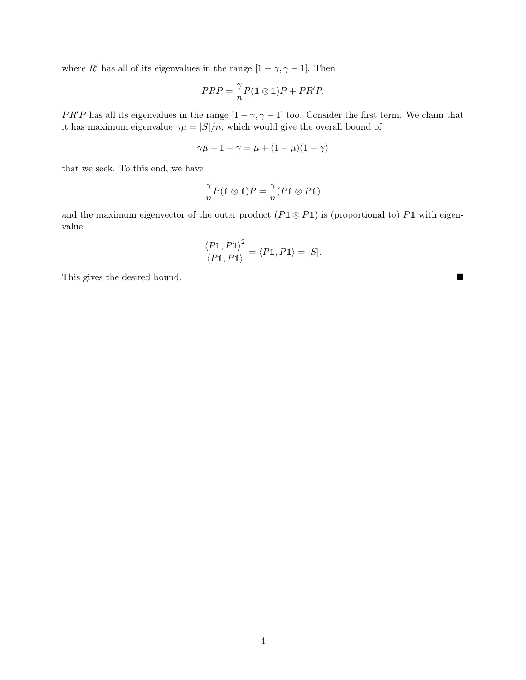where  $R'$  has all of its eigenvalues in the range  $[1 - \gamma, \gamma - 1]$ . Then

$$
PRP = \frac{\gamma}{n}P(\mathbb{1} \otimes \mathbb{1})P + PR'P.
$$

PR'P has all its eigenvalues in the range  $[1 - \gamma, \gamma - 1]$  too. Consider the first term. We claim that it has maximum eigenvalue  $\gamma \mu = |S|/n$ , which would give the overall bound of

$$
\gamma \mu + 1 - \gamma = \mu + (1 - \mu)(1 - \gamma)
$$

that we seek. To this end, we have

$$
\frac{\gamma}{n}P(\mathbb{1} \otimes \mathbb{1})P = \frac{\gamma}{n}(P\mathbb{1} \otimes P\mathbb{1})
$$

and the maximum eigenvector of the outer product  $(P1 \otimes P1)$  is (proportional to)  $P1$  with eigenvalue

$$
\frac{\langle P\mathbb{1}, P\mathbb{1}\rangle^2}{\langle P\mathbb{1}, P\mathbb{1}\rangle} = \langle P\mathbb{1}, P\mathbb{1}\rangle = |S|.
$$

This gives the desired bound.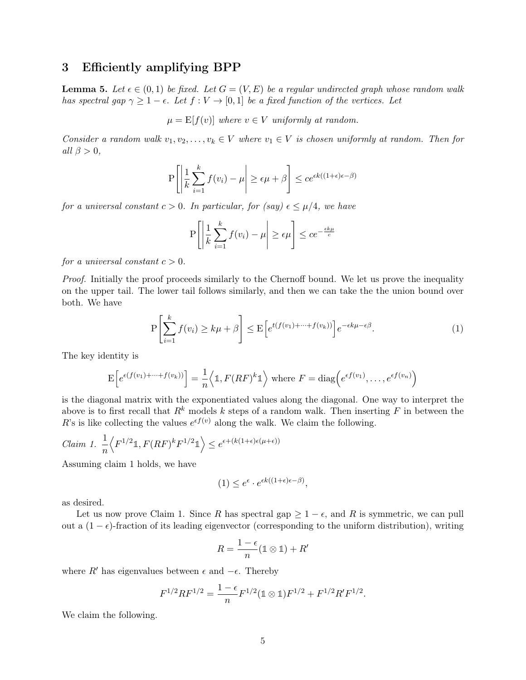#### 3 Efficiently amplifying BPP

<span id="page-4-0"></span>**Lemma 5.** Let  $\epsilon \in (0,1)$  be fixed. Let  $G = (V, E)$  be a regular undirected graph whose random walk has spectral gap  $\gamma \geq 1 - \epsilon$ . Let  $f: V \to [0, 1]$  be a fixed function of the vertices. Let

$$
\mu = E[f(v)]
$$
 where  $v \in V$  uniformly at random.

Consider a random walk  $v_1, v_2, \ldots, v_k \in V$  where  $v_1 \in V$  is chosen uniformly at random. Then for all  $\beta > 0$ ,

$$
\mathbf{P}\left[\left|\frac{1}{k}\sum_{i=1}^{k}f(v_i)-\mu\right|\geq \epsilon\mu+\beta\right]\leq ce^{\epsilon k((1+\epsilon)\epsilon-\beta)}
$$

for a universal constant  $c > 0$ . In particular, for (say)  $\epsilon \leq \mu/4$ , we have

$$
P\left[\left|\frac{1}{k}\sum_{i=1}^{k}f(v_i)-\mu\right|\geq \epsilon\mu\right]\leq ce^{-\frac{\epsilon k\mu}{c}}
$$

for a universal constant  $c > 0$ .

Proof. Initially the proof proceeds similarly to the Chernoff bound. We let us prove the inequality on the upper tail. The lower tail follows similarly, and then we can take the the union bound over both. We have

$$
P\left[\sum_{i=1}^{k} f(v_i) \ge k\mu + \beta\right] \le E\left[e^{t(f(v_1) + \dots + f(v_k))}\right] e^{-\epsilon k\mu - \epsilon \beta}.
$$
\n(1)

The key identity is

$$
\mathcal{E}\left[e^{\epsilon(f(v_1)+\cdots+f(v_k))}\right] = \frac{1}{n}\left\langle \mathbb{1}, F(RF)^k\mathbb{1}\right\rangle \text{ where } F = \text{diag}\left(e^{\epsilon f(v_1)}, \dots, e^{\epsilon f(v_n)}\right)
$$

is the diagonal matrix with the exponentiated values along the diagonal. One way to interpret the above is to first recall that  $R^k$  models k steps of a random walk. Then inserting F in between the R's is like collecting the values  $e^{\epsilon f(v)}$  along the walk. We claim the following.

$$
Claim \ 1. \ \frac{1}{n} \Big\langle F^{1/2} \mathbb{1}, F(RF)^{k} F^{1/2} \mathbb{1} \Big\rangle \le e^{\epsilon + (k(1+\epsilon)\epsilon(\mu+\epsilon))}
$$

Assuming claim 1 holds, we have

$$
(1) \le e^{\epsilon} \cdot e^{\epsilon k((1+\epsilon)\epsilon - \beta)},
$$

as desired.

Let us now prove Claim 1. Since R has spectral gap  $\geq 1 - \epsilon$ , and R is symmetric, we can pull out a  $(1 - \epsilon)$ -fraction of its leading eigenvector (corresponding to the uniform distribution), writing

$$
R = \frac{1-\epsilon}{n} (\mathbb{1} \otimes \mathbb{1}) + R'
$$

where  $R'$  has eigenvalues between  $\epsilon$  and  $-\epsilon$ . Thereby

$$
F^{1/2}RF^{1/2}=\frac{1-\epsilon}{n}F^{1/2}(\mathbb{1}\otimes\mathbb{1})F^{1/2}+F^{1/2}R'F^{1/2}.
$$

We claim the following.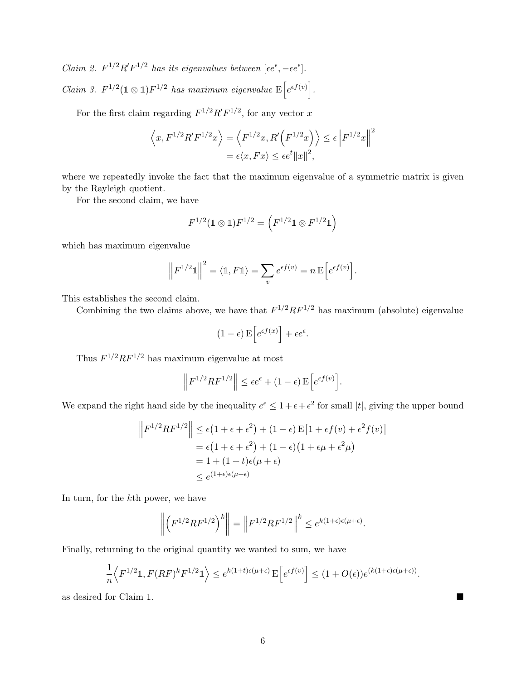Claim 2.  $F^{1/2}R'F^{1/2}$  has its eigenvalues between  $[\epsilon e^{\epsilon}, -\epsilon e^{\epsilon}]$ . Claim 3.  $F^{1/2}(\mathbb{1} \otimes \mathbb{1})F^{1/2}$  has maximum eigenvalue  $E\left[e^{\epsilon f(v)}\right]$ .

For the first claim regarding  $F^{1/2}R'F^{1/2}$ , for any vector x

$$
\langle x, F^{1/2} R' F^{1/2} x \rangle = \langle F^{1/2} x, R' (F^{1/2} x) \rangle \le \epsilon \| F^{1/2} x \|^2
$$
  
=  $\epsilon \langle x, Fx \rangle \le \epsilon e^t \|x\|^2$ ,

where we repeatedly invoke the fact that the maximum eigenvalue of a symmetric matrix is given by the Rayleigh quotient.

For the second claim, we have

$$
F^{1/2}(\mathbb{1}\otimes\mathbb{1})F^{1/2}=\left(F^{1/2}\mathbb{1}\otimes F^{1/2}\mathbb{1}\right)
$$

which has maximum eigenvalue

$$
\left\| F^{1/2} \mathbb{1} \right\|^2 = \langle \mathbb{1}, F \mathbb{1} \rangle = \sum_{v} e^{\epsilon f(v)} = n \mathbf{E} \left[ e^{\epsilon f(v)} \right].
$$

This establishes the second claim.

Combining the two claims above, we have that  $F^{1/2}RF^{1/2}$  has maximum (absolute) eigenvalue

$$
(1 - \epsilon) \mathbf{E} \left[ e^{\epsilon f(x)} \right] + \epsilon e^{\epsilon}.
$$

Thus  $F^{1/2}RF^{1/2}$  has maximum eigenvalue at most

$$
\left\| F^{1/2} R F^{1/2} \right\| \le \epsilon e^{\epsilon} + (1 - \epsilon) \mathbf{E} \Big[ e^{\epsilon f(v)} \Big].
$$

We expand the right hand side by the inequality  $e^{\epsilon} \leq 1 + \epsilon + \epsilon^2$  for small |t|, giving the upper bound

$$
\left\| F^{1/2} R F^{1/2} \right\| \le \epsilon \left( 1 + \epsilon + \epsilon^2 \right) + (1 - \epsilon) \mathbb{E} \left[ 1 + \epsilon f(v) + \epsilon^2 f(v) \right]
$$
  
=  $\epsilon \left( 1 + \epsilon + \epsilon^2 \right) + (1 - \epsilon) \left( 1 + \epsilon \mu + \epsilon^2 \mu \right)$   
=  $1 + (1 + t) \epsilon (\mu + \epsilon)$   
 $\le e^{(1 + \epsilon) \epsilon (\mu + \epsilon)}$ 

In turn, for the kth power, we have

$$
\left\| \left( F^{1/2} R F^{1/2} \right)^k \right\| = \left\| F^{1/2} R F^{1/2} \right\|^k \leq e^{k(1+\epsilon)\epsilon(\mu+\epsilon)}.
$$

Finally, returning to the original quantity we wanted to sum, we have

$$
\frac{1}{n}\left\langle F^{1/2}\mathbb{1}, F(RF)^k F^{1/2}\mathbb{1}\right\rangle \leq e^{k(1+t)\epsilon(\mu+\epsilon)} \mathcal{E}\left[e^{\epsilon f(v)}\right] \leq (1+O(\epsilon))e^{(k(1+\epsilon)\epsilon(\mu+\epsilon))}.
$$

as desired for Claim 1.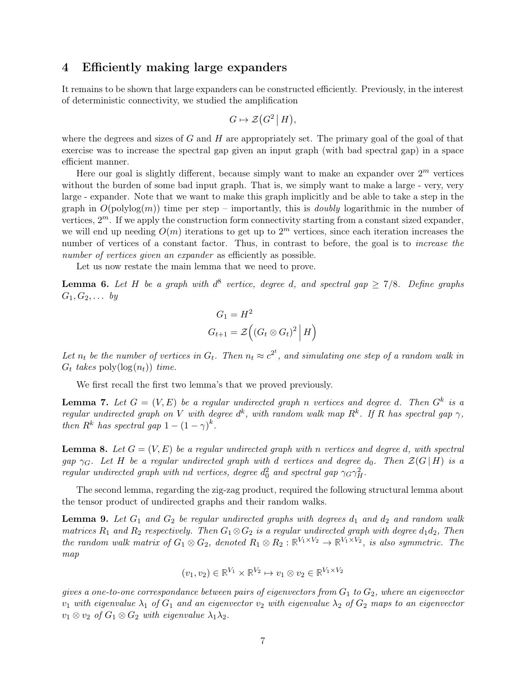#### 4 Efficiently making large expanders

It remains to be shown that large expanders can be constructed efficiently. Previously, in the interest of deterministic connectivity, we studied the amplification

$$
G \mapsto \mathcal{Z}(G^2 | H),
$$

where the degrees and sizes of  $G$  and  $H$  are appropriately set. The primary goal of the goal of that exercise was to increase the spectral gap given an input graph (with bad spectral gap) in a space efficient manner.

Here our goal is slightly different, because simply want to make an expander over  $2^m$  vertices without the burden of some bad input graph. That is, we simply want to make a large - very, very large - expander. Note that we want to make this graph implicitly and be able to take a step in the graph in  $O(polylog(m))$  time per step – importantly, this is *doubly* logarithmic in the number of vertices,  $2^m$ . If we apply the construction form connectivity starting from a constant sized expander, we will end up needing  $O(m)$  iterations to get up to  $2<sup>m</sup>$  vertices, since each iteration increases the number of vertices of a constant factor. Thus, in contrast to before, the goal is to *increase the* number of vertices given an expander as efficiently as possible.

Let us now restate the main lemma that we need to prove.

**Lemma 6.** Let H be a graph with  $d^8$  vertice, degree d, and spectral gap  $\geq 7/8$ . Define graphs  $G_1, G_2, \ldots$  by

$$
G_1 = H^2
$$
  

$$
G_{t+1} = \mathcal{Z} ((G_t \otimes G_t)^2 | H)
$$

Let  $n_t$  be the number of vertices in  $G_t$ . Then  $n_t \approx c^{2^t}$ , and simulating one step of a random walk in  $G_t$  takes poly $(\log(n_t))$  time.

We first recall the first two lemma's that we proved previously.

**Lemma 7.** Let  $G = (V, E)$  be a regular undirected graph n vertices and degree d. Then  $G^k$  is a regular undirected graph on V with degree  $d^k$ , with random walk map  $R^k$ . If R has spectral gap  $\gamma$ , then  $R^k$  has spectral gap  $1 - (1 - \gamma)^k$ .

**Lemma 8.** Let  $G = (V, E)$  be a regular undirected graph with n vertices and degree d, with spectral gap  $\gamma_G$ . Let H be a regular undirected graph with d vertices and degree  $d_0$ . Then  $\mathcal{Z}(G | H)$  is a regular undirected graph with nd vertices, degree  $d_0^2$  and spectral gap  $\gamma_G \gamma_H^2$ .

The second lemma, regarding the zig-zag product, required the following structural lemma about the tensor product of undirected graphs and their random walks.

**Lemma 9.** Let  $G_1$  and  $G_2$  be regular undirected graphs with degrees  $d_1$  and  $d_2$  and random walk matrices  $R_1$  and  $R_2$  respectively. Then  $G_1 \otimes G_2$  is a regular undirected graph with degree  $d_1d_2$ , Then the random walk matrix of  $G_1 \otimes G_2$ , denoted  $R_1 \otimes R_2 : \mathbb{R}^{V_1 \times V_2} \to \mathbb{R}^{V_1 \times V_2}$ , is also symmetric. The map

$$
(v_1, v_2) \in \mathbb{R}^{V_1} \times \mathbb{R}^{V_2} \mapsto v_1 \otimes v_2 \in \mathbb{R}^{V_1 \times V_2}
$$

gives a one-to-one correspondance between pairs of eigenvectors from  $G_1$  to  $G_2$ , where an eigenvector  $v_1$  with eigenvalue  $\lambda_1$  of  $G_1$  and an eigenvector  $v_2$  with eigenvalue  $\lambda_2$  of  $G_2$  maps to an eigenvector  $v_1 \otimes v_2$  of  $G_1 \otimes G_2$  with eigenvalue  $\lambda_1 \lambda_2$ .